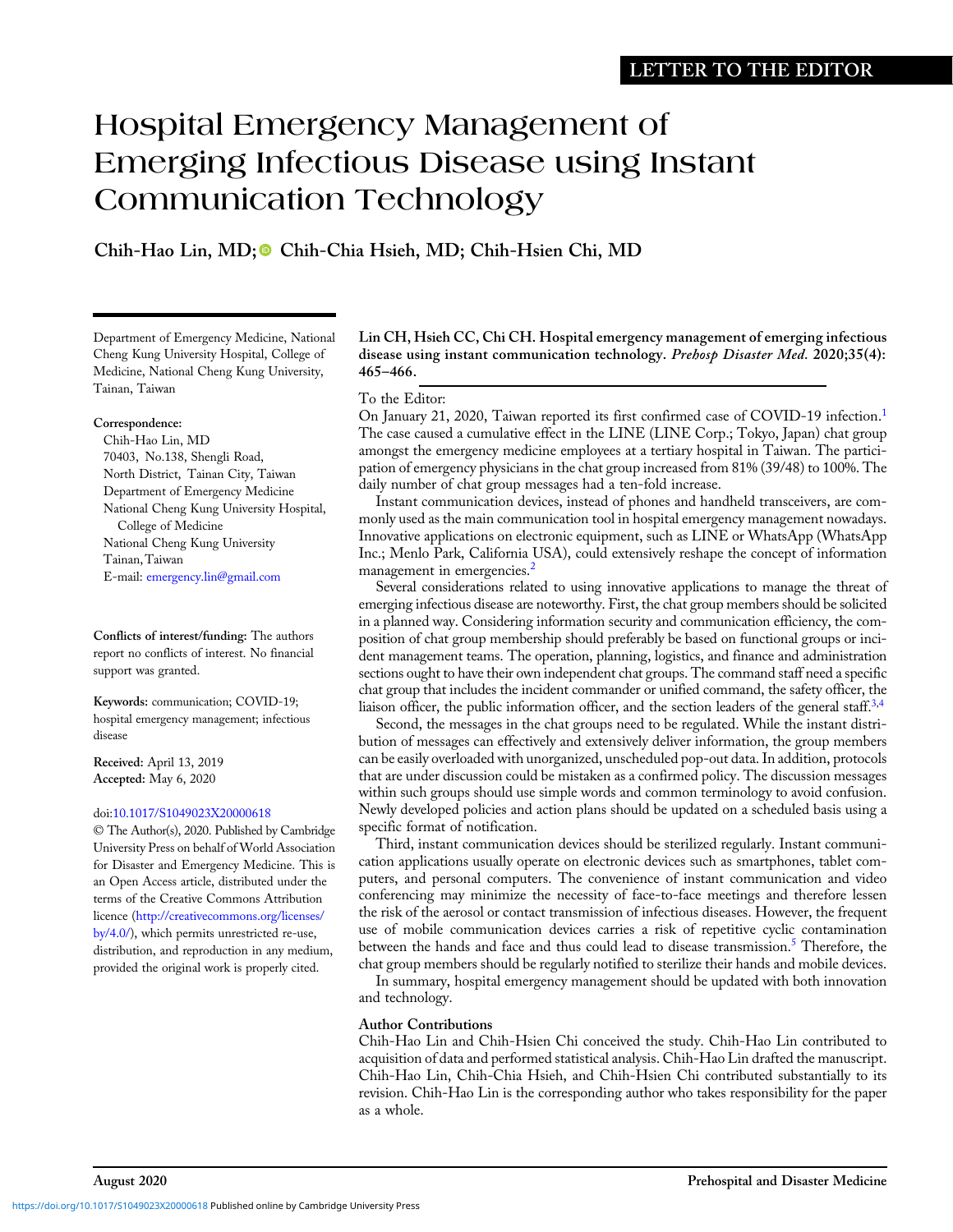# Hospital Emergency Management of  $\sum_{i=1}^n\sum_{j=1}^n\frac{1}{j}$  is the linear using Instant Communication Technology

Chih-Hao Lin, MD; Chih-Chia Hsieh, MD; Chih-Hsien Chi, MD

Department of Emergency Medicine, National Cheng Kung University Hospital, College of Medicine, National Cheng Kung University, Tainan, Taiwan

#### Correspondence:

Chih-Hao Lin, MD 70403, No.138, Shengli Road, North District, Tainan City, Taiwan Department of Emergency Medicine National Cheng Kung University Hospital, College of Medicine National Cheng Kung University Tainan,Taiwan E-mail: [emergency.lin@gmail.com](mailto:emergency.lin@gmail.com)

Conflicts of interest/funding: The authors report no conflicts of interest. No financial support was granted.

Keywords: communication; COVID-19; hospital emergency management; infectious disease

Received: April 13, 2019 Accepted: May 6, 2020

### doi:[10.1017/S1049023X20000618](https://doi.org/10.1017/S1049023X20000618)

© The Author(s), 2020. Published by Cambridge University Press on behalf of World Association for Disaster and Emergency Medicine. This is an Open Access article, distributed under the terms of the Creative Commons Attribution licence [\(http://creativecommons.org/licenses/](http://creativecommons.org/licenses/by/4.0/) [by/4.0/\)](http://creativecommons.org/licenses/by/4.0/), which permits unrestricted re-use, distribution, and reproduction in any medium, provided the original work is properly cited.

Lin CH, Hsieh CC, Chi CH. Hospital emergency management of emerging infectious disease using instant communication technology. Prehosp Disaster Med. 2020;35(4): 465–466.

# To the Editor:

On January 2[1](#page-1-0), 2020, Taiwan reported its first confirmed case of COVID-19 infection.<sup>1</sup> The case caused a cumulative effect in the LINE (LINE Corp.; Tokyo, Japan) chat group amongst the emergency medicine employees at a tertiary hospital in Taiwan. The participation of emergency physicians in the chat group increased from 81% (39/48) to 100%. The daily number of chat group messages had a ten-fold increase.

Instant communication devices, instead of phones and handheld transceivers, are commonly used as the main communication tool in hospital emergency management nowadays. Innovative applications on electronic equipment, such as LINE or WhatsApp (WhatsApp Inc.; Menlo Park, California USA), could extensively reshape the concept of information management in emergencies.<sup>[2](#page-1-0)</sup>

Several considerations related to using innovative applications to manage the threat of emerging infectious disease are noteworthy. First, the chat group members should be solicited in a planned way. Considering information security and communication efficiency, the composition of chat group membership should preferably be based on functional groups or incident management teams. The operation, planning, logistics, and finance and administration sections ought to have their own independent chat groups. The command staff need a specific chat group that includes the incident commander or unified command, the safety officer, the liaison officer, the public information officer, and the section leaders of the general staff. $3,4$  $3,4$ 

Second, the messages in the chat groups need to be regulated. While the instant distribution of messages can effectively and extensively deliver information, the group members can be easily overloaded with unorganized, unscheduled pop-out data. In addition, protocols that are under discussion could be mistaken as a confirmed policy. The discussion messages within such groups should use simple words and common terminology to avoid confusion. Newly developed policies and action plans should be updated on a scheduled basis using a specific format of notification.

Third, instant communication devices should be sterilized regularly. Instant communication applications usually operate on electronic devices such as smartphones, tablet computers, and personal computers. The convenience of instant communication and video conferencing may minimize the necessity of face-to-face meetings and therefore lessen the risk of the aerosol or contact transmission of infectious diseases. However, the frequent use of mobile communication devices carries a risk of repetitive cyclic contamination between the hands and face and thus could lead to disease transmission.<sup>[5](#page-1-0)</sup> Therefore, the chat group members should be regularly notified to sterilize their hands and mobile devices.

In summary, hospital emergency management should be updated with both innovation and technology.

# Author Contributions

Chih-Hao Lin and Chih-Hsien Chi conceived the study. Chih-Hao Lin contributed to acquisition of data and performed statistical analysis. Chih-Hao Lin drafted the manuscript. Chih-Hao Lin, Chih-Chia Hsieh, and Chih-Hsien Chi contributed substantially to its revision. Chih-Hao Lin is the corresponding author who takes responsibility for the paper as a whole.